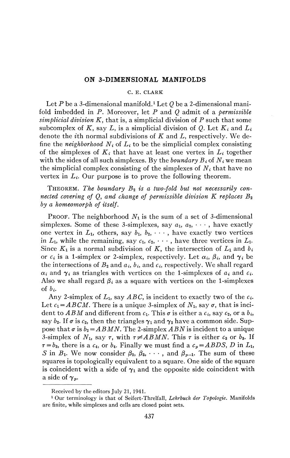## **ON 3-DIMENSIONAL MANIFOLDS**

## C. E. CLARK

Let *P* be a 3-dimensional manifold.<sup>1</sup> Let *Q* be a 2-dimensional manifold imbedded in *P.* Moreover, let *P* and *Q* admit of a *permissible simplicial division K,* that is, a simplicial division of *P* such that some subcomplex of K, say L, is a simplicial division of Q. Let  $K_i$  and  $L_i$ denote the *it\\* normal subdivisions of *K* and *L,* respectively. We define the *neighborhood Ni* of *Li* to be the simplicial complex consisting of the simplexes of  $K_i$  that have at least one vertex in  $L_i$  together with the sides of all such simplexes. By the *boundary*  $B_i$  of  $N_i$  we mean the simplicial complex consisting of the simplexes of  $N_i$  that have no vertex in  $L_i$ . Our purpose is to prove the following theorem.

THEOREM. *The boundary B2 is a two-fold but not necessarily connected covering of Q, and change of permissible division K replaces B2 by a homeomorph of itself.* 

**PROOF.** The neighborhood  $N_1$  is the sum of a set of 3-dimensional simplexes. Some of these 3-simplexes, say  $a_1, a_2, \cdots$ , have exactly one vertex in  $L_1$ , others, say  $b_1$ ,  $b_2$ ,  $\cdots$ , have exactly two vertices in  $L_1$ , while the remaining, say  $c_1, c_2, \cdots$ , have three vertices in  $L_1$ . Since  $K_1$  is a normal subdivision of  $K$ , the intersection of  $L_1$  and  $b_i$ or  $c_i$  is a 1-simplex or 2-simplex, respectively. Let  $\alpha_i$ ,  $\beta_i$ , and  $\gamma_i$  be the intersections of  $B_2$  and  $a_i$ ,  $b_i$ , and  $c_i$ , respectively. We shall regard  $\alpha_i$  and  $\gamma_i$  as triangles with vertices on the 1-simplexes of  $a_i$  and  $c_i$ . Also we shall regard  $\beta_i$  as a square with vertices on the 1-simplexes of *bi.* 

Any 2-simplex of  $L_1$ , say  $ABC$ , is incident to exactly two of the  $c_i$ . Let  $c_1 = ABCM$ . There is a unique 3-simplex of  $N_1$ , say  $\sigma$ , that is incident to  $ABM$  and different from  $c_1$ . This  $\sigma$  is either a  $c_i$ , say  $c_2$ , or a  $b_i$ , say  $b_2$ . If  $\sigma$  is  $c_2$ , then the triangles  $\gamma_1$  and  $\gamma_2$  have a common side. Suppose that  $\sigma$  is  $b_2 = ABMN$ . The 2-simplex  $ABN$  is incident to a unique 3-simplex of  $N_1$ , say  $\tau$ , with  $\tau \neq ABMN$ . This  $\tau$  is either  $c_3$  or  $b_3$ . If  $\tau = b_3$ , there is a  $c_4$ , or  $b_4$ . Finally we must find a  $c_p = ABDS$ , D in  $L_1$ , S in  $B_1$ . We now consider  $\beta_2, \beta_3, \cdots$ , and  $\beta_{p-1}$ . The sum of these squares is topologically equivalent to a square. One side of the square is coincident with a side of  $\gamma_1$  and the opposite side coincident with a side of  $\gamma_p$ .

Received by the editors July 21, 1941.

<sup>1</sup> Our terminology is that of Seifert-Threlfall, *Lehrbuch der Topologie.* Manifolds are finite, while simplexes and cells are closed point sets.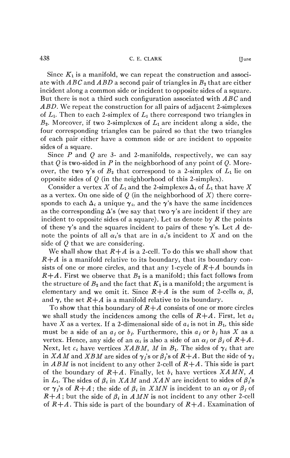Since *K\* is a manifold, we can repeat the construction and associate with *ABC* and *ABD* a second pair of triangles in *B2* that are either incident along a common side or incident to opposite sides of a square. But there is not a third such configuration associated with *ABC* and *ABD,* We repeat the construction for all pairs of adjacent 2-simplexes of  $L_1$ . Then to each 2-simplex of  $L_1$  there correspond two triangles in  $B_2$ . Moreover, if two 2-simplexes of  $L_1$  are incident along a side, the four corresponding triangles can be paired so that the two triangles of each pair either have a common side or are incident to opposite sides of a square.

Since *P* and *Q* are 3- and 2-manifolds, respectively, we can say that *Q* is two-sided in *P* in the neighborhood of any point of *Q.* Moreover, the two  $\gamma$ 's of  $B_2$  that correspond to a 2-simplex of  $L_1$  lie on opposite sides of *Q* (in the neighborhood of this 2-simplex).

Consider a vertex X of  $L_1$  and the 2-simplexes  $\Delta_i$  of  $L_1$  that have X as a vertex. On one side of *Q* (in the neighborhood of *X)* there corresponds to each  $\Delta_i$  a unique  $\gamma_i$ , and the  $\gamma$ 's have the same incidences as the corresponding  $\Delta$ 's (we say that two  $\gamma$ 's are incident if they are incident to opposite sides of a square). Let us denote by  $R$  the points of these  $\gamma$ 's and the squares incident to pairs of these  $\gamma$ 's. Let A denote the points of all  $\alpha_i$ 's that are in  $a_i$ 's incident to X and on the side of *Q* that we are considering.

We shall show that  $R+A$  is a 2-cell. To do this we shall show that  $R+A$  is a manifold relative to its boundary, that its boundary consists of one or more circles, and that any 1-cycle of  $R+A$  bounds in  $R+A$ . First we observe that  $B_2$  is a manifold; this fact follows from the structure of  $B_2$  and the fact that  $K_1$  is a manifold; the argument is elementary and we omit it. Since  $R+A$  is the sum of 2-cells  $\alpha$ ,  $\beta$ , and  $\gamma$ , the set  $R+A$  is a manifold relative to its boundary.

To show that this boundary of *R+A* consists of one or more circles we shall study the incidences among the cells of  $R+A$ . First, let  $a_i$ have X as a vertex. If a 2-dimensional side of  $a_i$  is not in  $B_1$ , this side must be a side of an *aj* or *bj.* Furthermore, this *aj* or *bj* has *X* as a vertex. Hence, any side of an  $\alpha_i$  is also a side of an  $\alpha_j$  or  $\beta_j$  of  $R+A$ . Next, let  $c_i$  have vertices *XABM*, *M* in  $B_i$ . The sides of  $\gamma_i$  that are in *XAM* and *XBM* are sides of  $\gamma_i$ 's or  $\beta_i$ 's of  $R+A$ . But the side of  $\gamma_i$ in *ABM* is not incident to any other 2-cell of *R+A.* This side is part of the boundary of *R+A.* Finally, let *bi* have vertices *XAMN, A*  in  $L_1$ . The sides of  $\beta_i$  in XAM and XAN are incident to sides of  $\beta_i$ 's or  $\gamma_i$ 's of  $R+A$ ; the side of  $\beta_i$  in  $XMN$  is incident to an  $\alpha_j$  or  $\beta_j$  of  $R+A$ ; but the side of  $\beta_i$  in AMN is not incident to any other 2-cell of *R+A.* This side is part of the boundary of *R+A.* Examination of